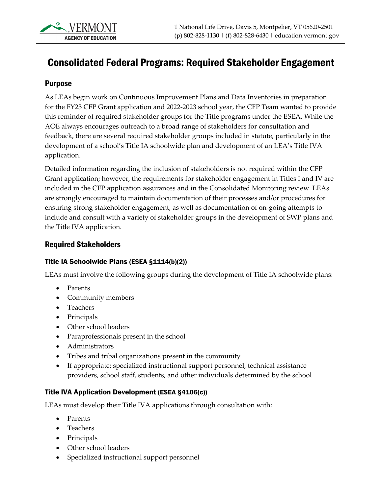# Consolidated Federal Programs: Required Stakeholder Engagement

## Purpose

As LEAs begin work on Continuous Improvement Plans and Data Inventories in preparation for the FY23 CFP Grant application and 2022-2023 school year, the CFP Team wanted to provide this reminder of required stakeholder groups for the Title programs under the ESEA. While the AOE always encourages outreach to a broad range of stakeholders for consultation and feedback, there are several required stakeholder groups included in statute, particularly in the development of a school's Title IA schoolwide plan and development of an LEA's Title IVA application.

Detailed information regarding the inclusion of stakeholders is not required within the CFP Grant application; however, the requirements for stakeholder engagement in Titles I and IV are included in the CFP application assurances and in the Consolidated Monitoring review. LEAs are strongly encouraged to maintain documentation of their processes and/or procedures for ensuring strong stakeholder engagement, as well as documentation of on-going attempts to include and consult with a variety of stakeholder groups in the development of SWP plans and the Title IVA application.

## Required Stakeholders

#### Title IA Schoolwide Plans (ESEA §1114(b)(2))

LEAs must involve the following groups during the development of Title IA schoolwide plans:

- Parents
- Community members
- Teachers
- Principals
- Other school leaders
- Paraprofessionals present in the school
- Administrators
- Tribes and tribal organizations present in the community
- If appropriate: specialized instructional support personnel, technical assistance providers, school staff, students, and other individuals determined by the school

#### Title IVA Application Development (ESEA §4106(c))

LEAs must develop their Title IVA applications through consultation with:

- Parents
- Teachers
- Principals
- Other school leaders
- Specialized instructional support personnel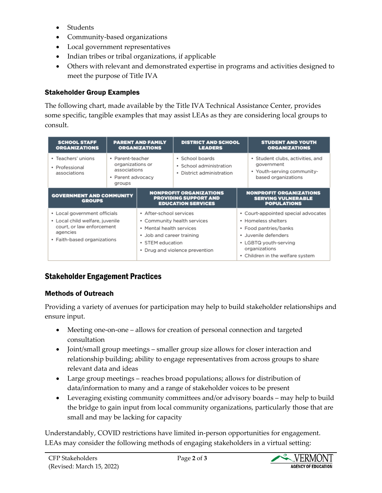- Students
- Community-based organizations
- Local government representatives
- Indian tribes or tribal organizations, if applicable
- Others with relevant and demonstrated expertise in programs and activities designed to meet the purpose of Title IVA

# Stakeholder Group Examples

The following chart, made available by the Title IVA Technical Assistance Center, provides some specific, tangible examples that may assist LEAs as they are considering local groups to consult.

| <b>PARENT AND FAMILY</b><br><b>SCHOOL STAFF</b><br><b>ORGANIZATIONS</b><br><b>ORGANIZATIONS</b>                                         |                                                                                     | <b>DISTRICT AND SCHOOL</b><br><b>LEADERS</b>                                                                                                                          |                                                                         | <b>STUDENT AND YOUTH</b><br><b>ORGANIZATIONS</b>                                                                                                                                          |                                                                                                     |
|-----------------------------------------------------------------------------------------------------------------------------------------|-------------------------------------------------------------------------------------|-----------------------------------------------------------------------------------------------------------------------------------------------------------------------|-------------------------------------------------------------------------|-------------------------------------------------------------------------------------------------------------------------------------------------------------------------------------------|-----------------------------------------------------------------------------------------------------|
| • Teachers' unions<br>• Professional<br>associations                                                                                    | • Parent-teacher<br>organizations or<br>associations<br>• Parent advocacy<br>groups |                                                                                                                                                                       | · School boards<br>• School administration<br>• District administration |                                                                                                                                                                                           | · Student clubs, activities, and<br>government<br>• Youth-serving community-<br>based organizations |
| <b>GOVERNMENT AND COMMUNITY</b><br><b>GROUPS</b>                                                                                        |                                                                                     | <b>NONPROFIT ORGANIZATIONS</b><br><b>PROVIDING SUPPORT AND</b><br><b>EDUCATION SERVICES</b>                                                                           |                                                                         | <b>NONPROFIT ORGANIZATIONS</b><br><b>SERVING VULNERABLE</b><br><b>POPULATIONS</b>                                                                                                         |                                                                                                     |
| • Local government officials<br>• Local child welfare, juvenile<br>court, or law enforcement<br>agencies<br>• Faith-based organizations |                                                                                     | • After-school services<br>• Community health services<br>• Mental health services<br>• Job and career training<br>• STEM education<br>• Drug and violence prevention |                                                                         | • Court-appointed special advocates<br>• Homeless shelters<br>• Food pantries/banks<br>· Juvenile defenders<br>• LGBTQ youth-serving<br>organizations<br>• Children in the welfare system |                                                                                                     |

# Stakeholder Engagement Practices

### Methods of Outreach

Providing a variety of avenues for participation may help to build stakeholder relationships and ensure input.

- Meeting one-on-one allows for creation of personal connection and targeted consultation
- Joint/small group meetings smaller group size allows for closer interaction and relationship building; ability to engage representatives from across groups to share relevant data and ideas
- Large group meetings reaches broad populations; allows for distribution of data/information to many and a range of stakeholder voices to be present
- Leveraging existing community committees and/or advisory boards may help to build the bridge to gain input from local community organizations, particularly those that are small and may be lacking for capacity

Understandably, COVID restrictions have limited in-person opportunities for engagement. LEAs may consider the following methods of engaging stakeholders in a virtual setting: